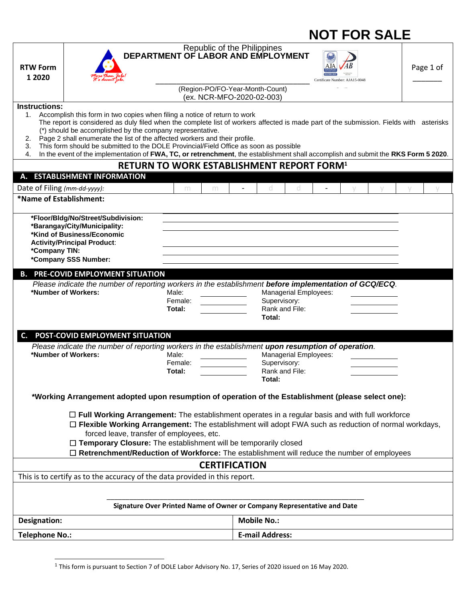|                              |                                                                                                                                                                                                                                                                                                                                                                                                                                                                                                                                                                                                | <b>NOT FOR SALE</b>                                                     |                      |                                                              |                                         |     |                                |  |  |           |  |
|------------------------------|------------------------------------------------------------------------------------------------------------------------------------------------------------------------------------------------------------------------------------------------------------------------------------------------------------------------------------------------------------------------------------------------------------------------------------------------------------------------------------------------------------------------------------------------------------------------------------------------|-------------------------------------------------------------------------|----------------------|--------------------------------------------------------------|-----------------------------------------|-----|--------------------------------|--|--|-----------|--|
| <b>RTW Form</b><br>1 2020    |                                                                                                                                                                                                                                                                                                                                                                                                                                                                                                                                                                                                | Republic of the Philippines<br>DEPARTMENT OF LABOR AND EMPLOYMENT       |                      | (Region-PO/FO-Year-Month-Count)<br>(ex. NCR-MFO-2020-02-003) |                                         | AJA | Certificate Number: AJA15-0048 |  |  | Page 1 of |  |
| <b>Instructions:</b>         |                                                                                                                                                                                                                                                                                                                                                                                                                                                                                                                                                                                                |                                                                         |                      |                                                              |                                         |     |                                |  |  |           |  |
| 1.<br>2.<br>3.<br>4.         | Accomplish this form in two copies when filing a notice of return to work<br>The report is considered as duly filed when the complete list of workers affected is made part of the submission. Fields with asterisks<br>(*) should be accomplished by the company representative.<br>Page 2 shall enumerate the list of the affected workers and their profile.<br>This form should be submitted to the DOLE Provincial/Field Office as soon as possible<br>In the event of the implementation of FWA, TC, or retrenchment, the establishment shall accomplish and submit the RKS Form 5 2020. | <b>RETURN TO WORK ESTABLISHMENT REPORT FORM1</b>                        |                      |                                                              |                                         |     |                                |  |  |           |  |
|                              | A. ESTABLISHMENT INFORMATION                                                                                                                                                                                                                                                                                                                                                                                                                                                                                                                                                                   |                                                                         |                      |                                                              |                                         |     |                                |  |  |           |  |
| Date of Filing (mm-dd-yyyy): |                                                                                                                                                                                                                                                                                                                                                                                                                                                                                                                                                                                                | m                                                                       | m                    | d.                                                           | d                                       |     |                                |  |  |           |  |
| *Name of Establishment:      |                                                                                                                                                                                                                                                                                                                                                                                                                                                                                                                                                                                                |                                                                         |                      |                                                              |                                         |     |                                |  |  |           |  |
| *Company TIN:                | *Floor/Bldg/No/Street/Subdivision:<br>*Barangay/City/Municipality:<br>*Kind of Business/Economic<br><b>Activity/Principal Product:</b><br>*Company SSS Number:                                                                                                                                                                                                                                                                                                                                                                                                                                 |                                                                         |                      |                                                              |                                         |     |                                |  |  |           |  |
|                              | <b>B. PRE-COVID EMPLOYMENT SITUATION</b>                                                                                                                                                                                                                                                                                                                                                                                                                                                                                                                                                       |                                                                         |                      |                                                              |                                         |     |                                |  |  |           |  |
|                              | Please indicate the number of reporting workers in the establishment before implementation of GCQ/ECQ.<br>*Number of Workers:                                                                                                                                                                                                                                                                                                                                                                                                                                                                  | Male:<br>Female:<br>Total:                                              |                      | Supervisory:<br>Total:                                       | Managerial Employees:<br>Rank and File: |     |                                |  |  |           |  |
| C.                           | POST-COVID EMPLOYMENT SITUATION                                                                                                                                                                                                                                                                                                                                                                                                                                                                                                                                                                |                                                                         |                      |                                                              |                                         |     |                                |  |  |           |  |
|                              | Please indicate the number of reporting workers in the establishment upon resumption of operation.<br>*Number of Workers:                                                                                                                                                                                                                                                                                                                                                                                                                                                                      | Male:<br>Female:<br>Total:                                              |                      | Supervisory:<br>Total:                                       | Managerial Employees:<br>Rank and File: |     |                                |  |  |           |  |
|                              | *Working Arrangement adopted upon resumption of operation of the Establishment (please select one):                                                                                                                                                                                                                                                                                                                                                                                                                                                                                            |                                                                         |                      |                                                              |                                         |     |                                |  |  |           |  |
|                              | $\Box$ Full Working Arrangement: The establishment operates in a regular basis and with full workforce<br>$\Box$ Flexible Working Arrangement: The establishment will adopt FWA such as reduction of normal workdays,<br>forced leave, transfer of employees, etc.<br>□ Temporary Closure: The establishment will be temporarily closed<br>□ Retrenchment/Reduction of Workforce: The establishment will reduce the number of employees                                                                                                                                                        |                                                                         |                      |                                                              |                                         |     |                                |  |  |           |  |
|                              |                                                                                                                                                                                                                                                                                                                                                                                                                                                                                                                                                                                                |                                                                         | <b>CERTIFICATION</b> |                                                              |                                         |     |                                |  |  |           |  |
|                              | This is to certify as to the accuracy of the data provided in this report.                                                                                                                                                                                                                                                                                                                                                                                                                                                                                                                     |                                                                         |                      |                                                              |                                         |     |                                |  |  |           |  |
|                              |                                                                                                                                                                                                                                                                                                                                                                                                                                                                                                                                                                                                | Signature Over Printed Name of Owner or Company Representative and Date |                      |                                                              |                                         |     |                                |  |  |           |  |
| Designation:                 |                                                                                                                                                                                                                                                                                                                                                                                                                                                                                                                                                                                                |                                                                         |                      | <b>Mobile No.:</b>                                           |                                         |     |                                |  |  |           |  |
| <b>Telephone No.:</b>        |                                                                                                                                                                                                                                                                                                                                                                                                                                                                                                                                                                                                |                                                                         |                      | <b>E-mail Address:</b>                                       |                                         |     |                                |  |  |           |  |
|                              |                                                                                                                                                                                                                                                                                                                                                                                                                                                                                                                                                                                                |                                                                         |                      |                                                              |                                         |     |                                |  |  |           |  |

<sup>&</sup>lt;sup>1</sup> This form is pursuant to Section 7 of DOLE Labor Advisory No. 17, Series of 2020 issued on 16 May 2020.